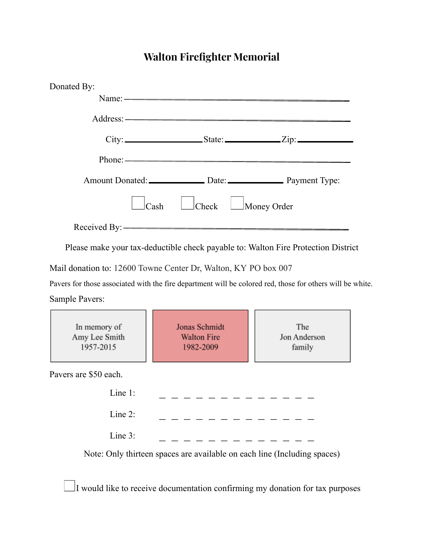## **Walton Firefighter Memorial**

| Donated By:     |                                 |  |
|-----------------|---------------------------------|--|
|                 |                                 |  |
|                 | Address: ————————————————————   |  |
|                 | $City:$ $City:$ $State:$ $Zip:$ |  |
|                 | Phone: $\longrightarrow$        |  |
|                 |                                 |  |
| <sub>Cash</sub> | Check Money Order               |  |
|                 |                                 |  |

Please make your tax-deductible check payable to: Walton Fire Protection District

Mail donation to: 12600 Towne Center Dr, Walton, KY PO box 007

Pavers for those associated with the fire department will be colored red, those for others will be white. Sample Pavers:

| In memory of<br>Amy Lee Smith<br>1957-2015 | Jonas Schmidt<br><b>Walton Fire</b><br>1982-2009                         | The<br>Jon Anderson<br>family |  |
|--------------------------------------------|--------------------------------------------------------------------------|-------------------------------|--|
| Pavers are \$50 each.                      |                                                                          |                               |  |
| Line $1$ :                                 |                                                                          |                               |  |
| Line $2$ :                                 |                                                                          |                               |  |
| Line $3$ :                                 |                                                                          |                               |  |
|                                            | Note: Only thirteen spaces are available on each line (Including spaces) |                               |  |

 $\Box$ I would like to receive documentation confirming my donation for tax purposes